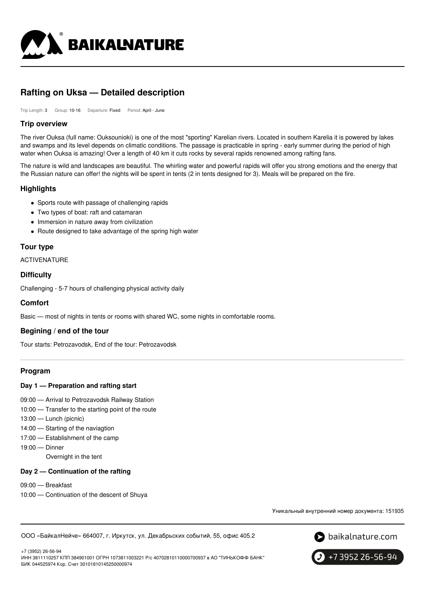

# **Rafting on Uksa — Detailed description**

Trip Length: 3 Group: 10-16 Departure: Fixed Period: April - June

#### **Trip overview**

The river Ouksa (full name: Ouksounioki) is one of the most "sporting" Karelian rivers. Located in southern Karelia it is powered by lakes and swamps and its level depends on climatic conditions. The passage is practicable in spring - early summer during the period of high water when Ouksa is amazing! Over a length of 40 km it cuts rocks by several rapids renowned among rafting fans.

The nature is wild and landscapes are beautiful. The whirling water and powerful rapids will offer you strong emotions and the energy that the Russian nature can offer! the nights will be spent in tents (2 in tents designed for 3). Meals will be prepared on the fire.

# **Highlights**

- Sports route with passage of challenging rapids
- Two types of boat: raft and catamaran
- Immersion in nature away from civilization
- Route designed to take advantage of the spring high water

# **Tour type**

ACTIVENATURE

# **Difficulty**

Challenging - 5-7 hours of challenging physical activity daily

#### **Comfort**

Basic — most of nights in tents or rooms with shared WC, some nights in comfortable rooms.

# **Begining / end of the tour**

Tour starts: Petrozavodsk, End of the tour: Petrozavodsk

# **Program**

#### **Day 1 — Preparation and rafting start**

- 09:00 Arrival to Petrozavodsk Railway Station
- 10:00 Transfer to the starting point of the route
- 13:00 Lunch (picnic)
- 14:00 Starting of the naviagtion
- 17:00 Establishment of the camp
- 19:00 Dinner

Overnight in the tent

#### **Day 2 — Continuation of the rafting**

- 09:00 Breakfast
- 10:00 Continuation of the descent of Shuya

Уникальный внутренний номер документа: 151935

ООО «БайкалНейче» 664007, г. Иркутск, ул. Декабрьских событий, 55, офис 405.2



+7 (3952) 26-56-94

ИНН 3811110257 КПП 384901001 ОГРН 1073811003221 Р/с 40702810110000700937 в АО "ТИНЬКОФФ БАНК" БИК 044525974 Кор. Счет 30101810145250000974

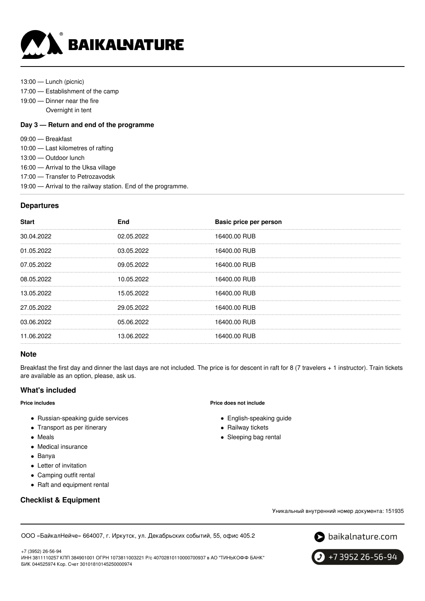

- 13:00 Lunch (picnic)
- 17:00 Establishment of the camp
- 19:00 Dinner near the fire
	- Overnight in tent

#### **Day 3 — Return and end of the programme**

- 09:00 Breakfast
- 10:00 Last kilometres of rafting
- 13:00 Outdoor lunch
- 16:00 Arrival to the Uksa village
- 17:00 Transfer to Petrozavodsk
- 19:00 Arrival to the railway station. End of the programme.

#### **Departures**

| <b>Start</b> | End        | Basic price per person |
|--------------|------------|------------------------|
| 30.04.2022   | 02.05.2022 | 16400.00 RUB           |
| 01.05.2022   | 03.05.2022 | 16400.00 RUB           |
| 07.05.2022   | 09.05.2022 | 16400.00 RUB           |
| 08.05.2022   | 10.05.2022 | 16400.00 RUB           |
| 13.05.2022   | 15.05.2022 | 16400.00 RUB           |
| 27.05.2022   | 29.05.2022 | 16400.00 RUB           |
| 03.06.2022   | 05.06.2022 | 16400.00 RUB           |
| 11.06.2022   | 13.06.2022 | 16400.00 RUB           |
|              |            |                        |

#### **Note**

Breakfast the first day and dinner the last days are not included. The price is for descent in raft for 8 (7 travelers + 1 instructor). Train tickets are available as an option, please, ask us.

# **What's included**

#### **Price includes**

- Russian-speaking guide services
- Transport as per itinerary
- Meals
- Medical insurance
- Banya
- Letter of invitation
- Camping outfit rental
- Raft and equipment rental

# **Checklist & Equipment**

**Price does not include**

- English-speaking guide
- Railway tickets
- Sleeping bag rental

Уникальный внутренний номер документа: 151935

ООО «БайкалНейче» 664007, г. Иркутск, ул. Декабрьских событий, 55, офис 405.2





 $9 + 7395226 - 56 - 94$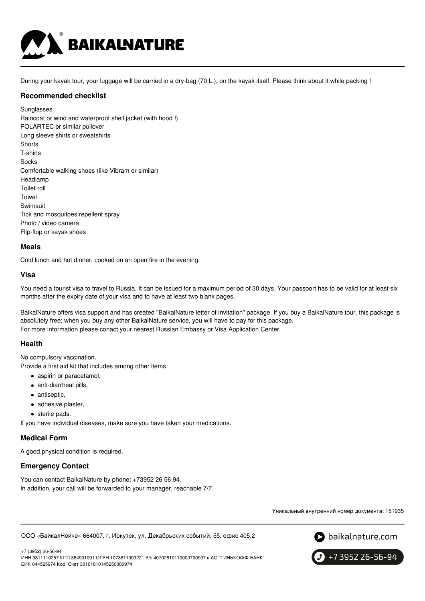

During your kayak tour, your luggage will be carried in a dry-bag (70 L.), on the kayak itself. Please think about it while packing !

#### **Recommended checklist**

**Sunglasses** Raincoat or wind and waterproof shell jacket (with hood !) POLARTEC or similar pullover Long sleeve shirts or sweatshirts **Shorts** T-shirts **Socks** Comfortable walking shoes (like Vibram or similar) Headlamp Toilet roll Towel Swimsuit Tick and mosquitoes repellent spray Photo / video camera Flip-flop or kayak shoes

# **Meals**

Cold lunch and hot dinner, cooked on an open fire in the evening.

#### **Visa**

You need a tourist visa to travel to Russia. It can be issued for a maximum period of 30 days. Your passport has to be valid for at least six months after the expiry date of your visa and to have at least two blank pages.

BaikalNature offers visa support and has created "BaikalNature letter of invitation" package. If you buy a BaikalNature tour, this package is absolutely free; when you buy any other BaikalNature service, you will have to pay for this package. For more information please conact your nearest Russian Embassy or Visa Application Center.

# **Health**

No compulsory vaccination.

Provide a first aid kit that includes among other items:

- aspirin or paracetamol,
- anti-diarrheal pills,
- antiseptic,
- adhesive plaster,
- sterile pads.

If you have individual diseases, make sure you have taken your medications.

#### **Medical Form**

A good physical condition is required.

# **Emergency Contact**

You can contact BaikalNature by phone: +73952 26 56 94. In addition, your call will be forwarded to your manager, reachable 7/7.

Уникальный внутренний номер документа: 151935

ООО «БайкалНейче» 664007, г. Иркутск, ул. Декабрьских событий, 55, офис 405.2



 $\big\}$  +7 3952 26-56-94

+7 (3952) 26-56-94 ИНН 3811110257 КПП 384901001 ОГРН 1073811003221 Р/с 40702810110000700937 в АО "ТИНЬКОФФ БАНК" БИК 044525974 Кор. Счет 30101810145250000974